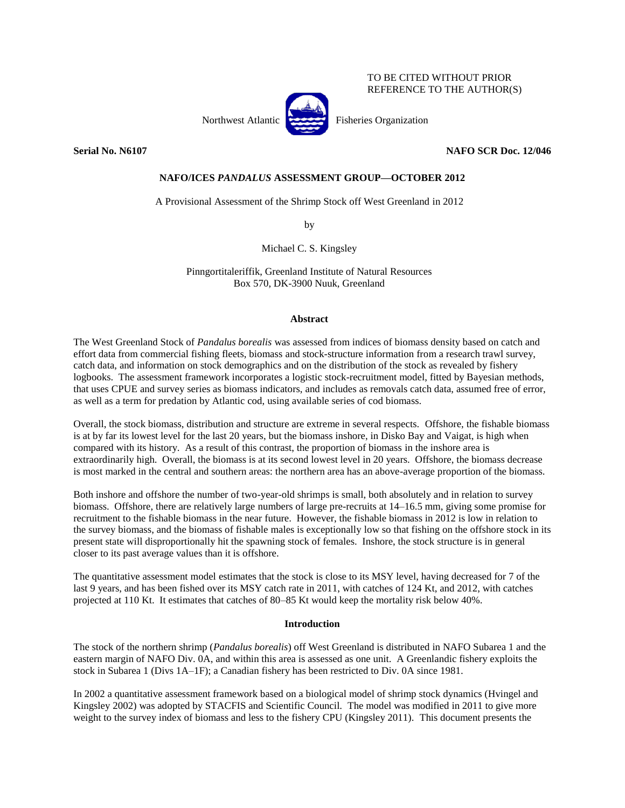## TO BE CITED WITHOUT PRIOR REFERENCE TO THE AUTHOR(S)

Northwest Atlantic Fisheries Organization

**Serial No. N6107 NAFO SCR Doc. 12/046**

# **NAFO/ICES** *PANDALUS* **ASSESSMENT GROUP—OCTOBER 2012**

A Provisional Assessment of the Shrimp Stock off West Greenland in 2012

by

Michael C. S. Kingsley

Pinngortitaleriffik, Greenland Institute of Natural Resources Box 570, DK-3900 Nuuk, Greenland

# **Abstract**

The West Greenland Stock of *Pandalus borealis* was assessed from indices of biomass density based on catch and effort data from commercial fishing fleets, biomass and stock-structure information from a research trawl survey, catch data, and information on stock demographics and on the distribution of the stock as revealed by fishery logbooks. The assessment framework incorporates a logistic stock-recruitment model, fitted by Bayesian methods, that uses CPUE and survey series as biomass indicators, and includes as removals catch data, assumed free of error, as well as a term for predation by Atlantic cod, using available series of cod biomass.

Overall, the stock biomass, distribution and structure are extreme in several respects. Offshore, the fishable biomass is at by far its lowest level for the last 20 years, but the biomass inshore, in Disko Bay and Vaigat, is high when compared with its history. As a result of this contrast, the proportion of biomass in the inshore area is extraordinarily high. Overall, the biomass is at its second lowest level in 20 years. Offshore, the biomass decrease is most marked in the central and southern areas: the northern area has an above-average proportion of the biomass.

Both inshore and offshore the number of two-year-old shrimps is small, both absolutely and in relation to survey biomass. Offshore, there are relatively large numbers of large pre-recruits at 14–16.5 mm, giving some promise for recruitment to the fishable biomass in the near future. However, the fishable biomass in 2012 is low in relation to the survey biomass, and the biomass of fishable males is exceptionally low so that fishing on the offshore stock in its present state will disproportionally hit the spawning stock of females. Inshore, the stock structure is in general closer to its past average values than it is offshore.

The quantitative assessment model estimates that the stock is close to its MSY level, having decreased for 7 of the last 9 years, and has been fished over its MSY catch rate in 2011, with catches of 124 Kt, and 2012, with catches projected at 110 Kt. It estimates that catches of 80–85 Kt would keep the mortality risk below 40%.

# **Introduction**

The stock of the northern shrimp (*Pandalus borealis*) off West Greenland is distributed in NAFO Subarea 1 and the eastern margin of NAFO Div. 0A, and within this area is assessed as one unit. A Greenlandic fishery exploits the stock in Subarea 1 (Divs 1A–1F); a Canadian fishery has been restricted to Div. 0A since 1981.

In 2002 a quantitative assessment framework based on a biological model of shrimp stock dynamics (Hvingel and Kingsley 2002) was adopted by STACFIS and Scientific Council. The model was modified in 2011 to give more weight to the survey index of biomass and less to the fishery CPU (Kingsley 2011). This document presents the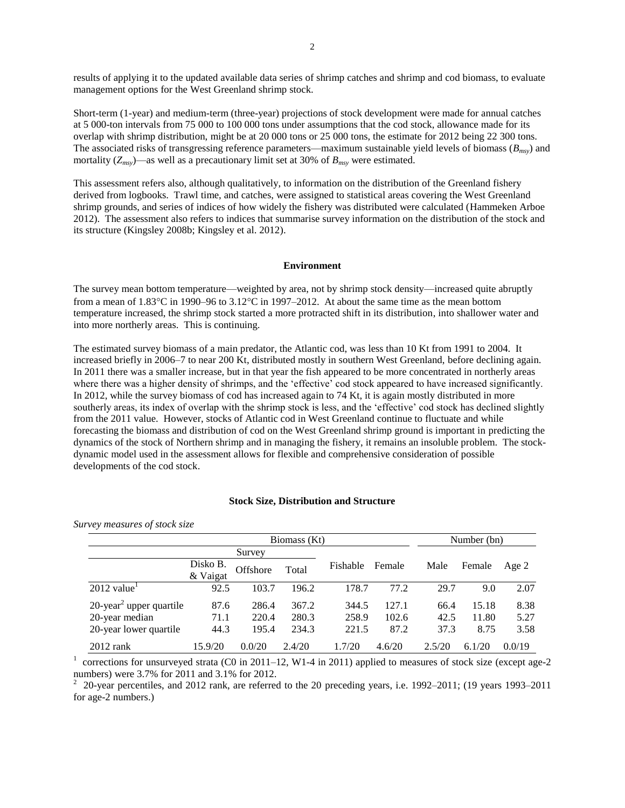results of applying it to the updated available data series of shrimp catches and shrimp and cod biomass, to evaluate management options for the West Greenland shrimp stock.

Short-term (1-year) and medium-term (three-year) projections of stock development were made for annual catches at 5 000-ton intervals from 75 000 to 100 000 tons under assumptions that the cod stock, allowance made for its overlap with shrimp distribution, might be at 20 000 tons or 25 000 tons, the estimate for 2012 being 22 300 tons. The associated risks of transgressing reference parameters—maximum sustainable yield levels of biomass (*Bmsy*) and mortality (*Zmsy*)—as well as a precautionary limit set at 30% of *Bmsy* were estimated.

This assessment refers also, although qualitatively, to information on the distribution of the Greenland fishery derived from logbooks. Trawl time, and catches, were assigned to statistical areas covering the West Greenland shrimp grounds, and series of indices of how widely the fishery was distributed were calculated (Hammeken Arboe 2012). The assessment also refers to indices that summarise survey information on the distribution of the stock and its structure (Kingsley 2008b; Kingsley et al. 2012).

### **Environment**

The survey mean bottom temperature—weighted by area, not by shrimp stock density—increased quite abruptly from a mean of  $1.83^{\circ}\text{C}$  in 1990–96 to  $3.12^{\circ}\text{C}$  in 1997–2012. At about the same time as the mean bottom temperature increased, the shrimp stock started a more protracted shift in its distribution, into shallower water and into more northerly areas. This is continuing.

The estimated survey biomass of a main predator, the Atlantic cod, was less than 10 Kt from 1991 to 2004. It increased briefly in 2006–7 to near 200 Kt, distributed mostly in southern West Greenland, before declining again. In 2011 there was a smaller increase, but in that year the fish appeared to be more concentrated in northerly areas where there was a higher density of shrimps, and the 'effective' cod stock appeared to have increased significantly. In 2012, while the survey biomass of cod has increased again to 74 Kt, it is again mostly distributed in more southerly areas, its index of overlap with the shrimp stock is less, and the 'effective' cod stock has declined slightly from the 2011 value. However, stocks of Atlantic cod in West Greenland continue to fluctuate and while forecasting the biomass and distribution of cod on the West Greenland shrimp ground is important in predicting the dynamics of the stock of Northern shrimp and in managing the fishery, it remains an insoluble problem. The stockdynamic model used in the assessment allows for flexible and comprehensive consideration of possible developments of the cod stock.

### **Stock Size, Distribution and Structure**

*Survey measures of stock size*

|                                        |                      | Number (bn) |        |          |        |        |        |        |
|----------------------------------------|----------------------|-------------|--------|----------|--------|--------|--------|--------|
|                                        |                      | Survey      |        |          |        |        |        |        |
|                                        | Disko B.<br>& Vaigat | Offshore    | Total  | Fishable | Female | Male   | Female | Age 2  |
| $2012$ value <sup>1</sup>              | 92.5                 | 103.7       | 196.2  | 178.7    | 77.2   | 29.7   | 9.0    | 2.07   |
| $20$ -year <sup>2</sup> upper quartile | 87.6                 | 286.4       | 367.2  | 344.5    | 127.1  | 66.4   | 15.18  | 8.38   |
| 20-year median                         | 71.1                 | 220.4       | 280.3  | 258.9    | 102.6  | 42.5   | 11.80  | 5.27   |
| 20-year lower quartile                 | 44.3                 | 195.4       | 234.3  | 221.5    | 87.2   | 37.3   | 8.75   | 3.58   |
| $2012$ rank                            | 15.9/20              | 0.0/20      | 2.4/20 | .7/20    | 4.6/20 | 2.5/20 | 6.1/20 | 0.0/19 |

<sup>1</sup> corrections for unsurveyed strata (C0 in 2011–12, W1-4 in 2011) applied to measures of stock size (except age-2

numbers) were 3.7% for 2011 and 3.1% for 2012.<br><sup>2</sup> 20-year percentiles, and 2012 rank, are referred to the 20 preceding years, i.e. 1992–2011; (19 years 1993–2011 for age-2 numbers.)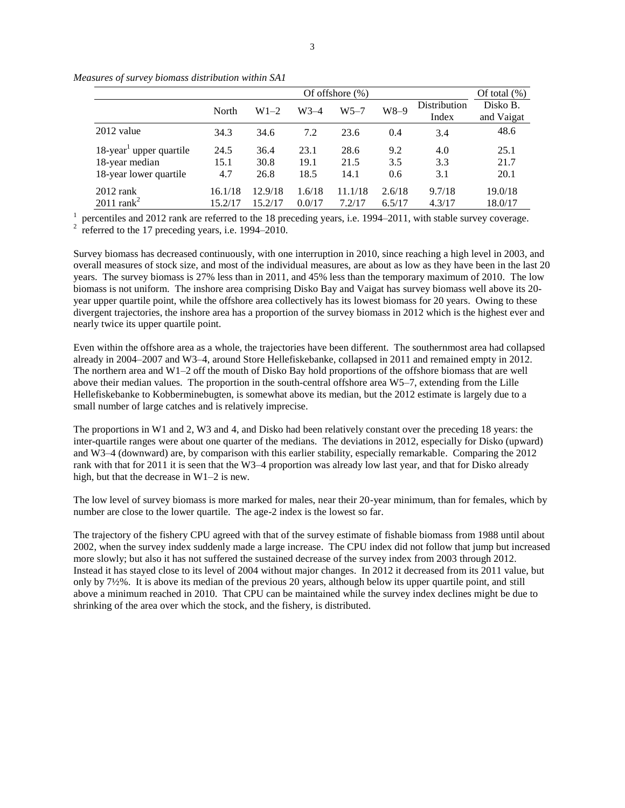|                                                                                    |                     | Of offshore $(\%)$   |                      |                      |                   |                       |                        |  |  |  |
|------------------------------------------------------------------------------------|---------------------|----------------------|----------------------|----------------------|-------------------|-----------------------|------------------------|--|--|--|
|                                                                                    | North               | $W1-2$               | W3-4                 | $W5 - 7$             | W8–9              | Distribution<br>Index | Disko B.<br>and Vaigat |  |  |  |
| 2012 value                                                                         | 34.3                | 34.6                 | 7.2                  | 23.6                 | 0.4               | 3.4                   | 48.6                   |  |  |  |
| $18$ -year <sup>1</sup> upper quartile<br>18-year median<br>18-year lower quartile | 24.5<br>15.1<br>4.7 | 36.4<br>30.8<br>26.8 | 23.1<br>19.1<br>18.5 | 28.6<br>21.5<br>14.1 | 9.2<br>3.5<br>0.6 | 4.0<br>3.3<br>3.1     | 25.1<br>21.7<br>20.1   |  |  |  |
| $2012$ rank<br>$2011$ rank <sup>2</sup>                                            | 16.1/18<br>15.2/17  | 12.9/18<br>15.2/17   | 1.6/18<br>0.0/17     | 11.1/18<br>7.2/17    | 2.6/18<br>6.5/17  | 9.7/18<br>4.3/17      | 19.0/18<br>18.0/17     |  |  |  |

*Measures of survey biomass distribution within SA1*

 $<sup>1</sup>$  percentiles and 2012 rank are referred to the 18 preceding years, i.e. 1994–2011, with stable survey coverage.</sup>  $2 \text{ referred to the 17 preceding years, i.e. } 1994-2010.$ 

Survey biomass has decreased continuously, with one interruption in 2010, since reaching a high level in 2003, and overall measures of stock size, and most of the individual measures, are about as low as they have been in the last 20 years. The survey biomass is 27% less than in 2011, and 45% less than the temporary maximum of 2010. The low biomass is not uniform. The inshore area comprising Disko Bay and Vaigat has survey biomass well above its 20 year upper quartile point, while the offshore area collectively has its lowest biomass for 20 years. Owing to these divergent trajectories, the inshore area has a proportion of the survey biomass in 2012 which is the highest ever and nearly twice its upper quartile point.

Even within the offshore area as a whole, the trajectories have been different. The southernmost area had collapsed already in 2004–2007 and W3–4, around Store Hellefiskebanke, collapsed in 2011 and remained empty in 2012. The northern area and W1–2 off the mouth of Disko Bay hold proportions of the offshore biomass that are well above their median values. The proportion in the south-central offshore area W5–7, extending from the Lille Hellefiskebanke to Kobberminebugten, is somewhat above its median, but the 2012 estimate is largely due to a small number of large catches and is relatively imprecise.

The proportions in W1 and 2, W3 and 4, and Disko had been relatively constant over the preceding 18 years: the inter-quartile ranges were about one quarter of the medians. The deviations in 2012, especially for Disko (upward) and W3–4 (downward) are, by comparison with this earlier stability, especially remarkable. Comparing the 2012 rank with that for 2011 it is seen that the W3–4 proportion was already low last year, and that for Disko already high, but that the decrease in W1–2 is new.

The low level of survey biomass is more marked for males, near their 20-year minimum, than for females, which by number are close to the lower quartile. The age-2 index is the lowest so far.

The trajectory of the fishery CPU agreed with that of the survey estimate of fishable biomass from 1988 until about 2002, when the survey index suddenly made a large increase. The CPU index did not follow that jump but increased more slowly; but also it has not suffered the sustained decrease of the survey index from 2003 through 2012. Instead it has stayed close to its level of 2004 without major changes. In 2012 it decreased from its 2011 value, but only by 7½%. It is above its median of the previous 20 years, although below its upper quartile point, and still above a minimum reached in 2010. That CPU can be maintained while the survey index declines might be due to shrinking of the area over which the stock, and the fishery, is distributed.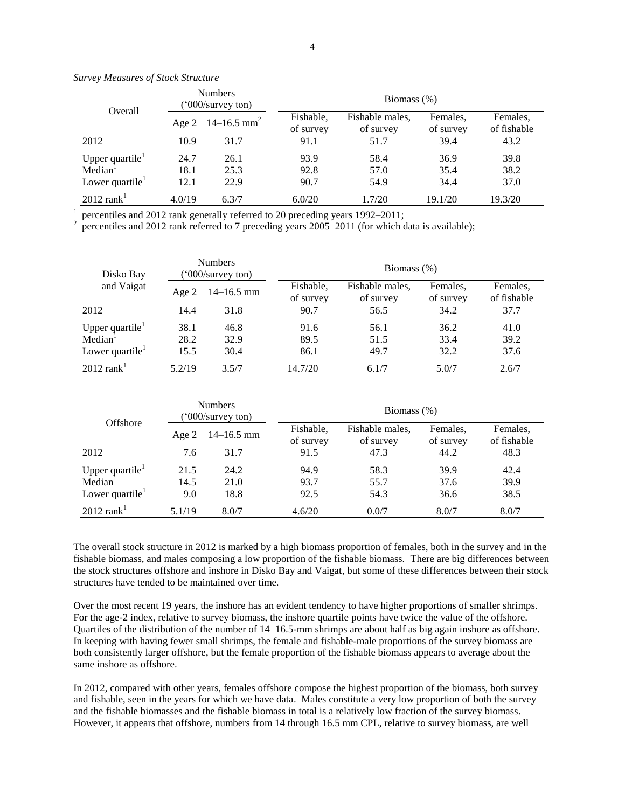|                                                                                   | <b>Numbers</b><br>('000/survey ton) |                                 | Biomass $(\%)$         |                              |                       |                         |  |  |  |
|-----------------------------------------------------------------------------------|-------------------------------------|---------------------------------|------------------------|------------------------------|-----------------------|-------------------------|--|--|--|
| Overall                                                                           |                                     | Age 2 $14-16.5$ mm <sup>2</sup> | Fishable.<br>of survey | Fishable males,<br>of survey | Females.<br>of survey | Females.<br>of fishable |  |  |  |
| 2012                                                                              | 10.9                                | 31.7                            | 91.1                   | 51.7                         | 39.4                  | 43.2                    |  |  |  |
| Upper quartile $\mathbf{r}$<br>Median <sup>1</sup><br>Lower quartile $\mathbf{r}$ | 24.7<br>18.1<br>12.1                | 26.1<br>25.3<br>22.9            | 93.9<br>92.8<br>90.7   | 58.4<br>57.0<br>54.9         | 36.9<br>35.4<br>34.4  | 39.8<br>38.2<br>37.0    |  |  |  |
| $2012$ rank <sup>1</sup>                                                          | 4.0/19                              | 6.3/7                           | 6.0/20                 | 1.7/20                       | 19.1/20               | 19.3/20                 |  |  |  |

*Survey Measures of Stock Structure*

1 percentiles and 2012 rank generally referred to 20 preceding years 1992–2011; 2

percentiles and 2012 rank referred to 7 preceding years 2005–2011 (for which data is available);

| Disko Bay                                                                |                      | <b>Numbers</b><br>$^{\prime}000$ /survey ton) |                        | Biomass $(\%)$               |                       |                         |  |  |  |  |
|--------------------------------------------------------------------------|----------------------|-----------------------------------------------|------------------------|------------------------------|-----------------------|-------------------------|--|--|--|--|
| and Vaigat                                                               | Age 2                | $14 - 16.5$ mm                                | Fishable,<br>of survey | Fishable males.<br>of survey | Females,<br>of survey | Females,<br>of fishable |  |  |  |  |
| 2012                                                                     | 14.4                 | 31.8                                          | 90.7                   | 56.5                         | 34.2                  | 37.7                    |  |  |  |  |
| Upper quartile $\mathbf{r}$<br>Median <sup>1</sup><br>Lower quartile $1$ | 38.1<br>28.2<br>15.5 | 46.8<br>32.9<br>30.4                          | 91.6<br>89.5<br>86.1   | 56.1<br>51.5<br>49.7         | 36.2<br>33.4<br>32.2  | 41.0<br>39.2<br>37.6    |  |  |  |  |
| $2012$ rank <sup>1</sup>                                                 | 5.2/19               | 3.5/7                                         | 14.7/20                | 6.1/7                        | 5.0/7                 | 2.6/7                   |  |  |  |  |

| Offshore                                           |              | <b>Numbers</b><br>('000/survey ton) |                        | Biomass $(\%)$               |                       |                         |  |  |  |
|----------------------------------------------------|--------------|-------------------------------------|------------------------|------------------------------|-----------------------|-------------------------|--|--|--|
|                                                    | Age $2$      | $14-16.5$ mm                        | Fishable,<br>of survey | Fishable males,<br>of survey | Females.<br>of survey | Females.<br>of fishable |  |  |  |
| 2012                                               | 7.6          | 31.7                                | 91.5                   | 47.3                         | 44.2                  | 48.3                    |  |  |  |
| Upper quartile $\mathbf{r}$<br>Median <sup>1</sup> | 21.5<br>14.5 | 24.2<br>21.0                        | 94.9<br>93.7           | 58.3<br>55.7                 | 39.9<br>37.6          | 42.4<br>39.9            |  |  |  |
| Lower quartile $1$                                 | 9.0          | 18.8                                | 92.5                   | 54.3                         | 36.6                  | 38.5                    |  |  |  |
| $2012$ rank <sup>1</sup>                           | 5.1/19       | 8.0/7                               | 4.6/20                 | 0.0/7                        | 8.0/7                 | 8.0/7                   |  |  |  |

The overall stock structure in 2012 is marked by a high biomass proportion of females, both in the survey and in the fishable biomass, and males composing a low proportion of the fishable biomass. There are big differences between the stock structures offshore and inshore in Disko Bay and Vaigat, but some of these differences between their stock structures have tended to be maintained over time.

Over the most recent 19 years, the inshore has an evident tendency to have higher proportions of smaller shrimps. For the age-2 index, relative to survey biomass, the inshore quartile points have twice the value of the offshore. Quartiles of the distribution of the number of 14–16.5-mm shrimps are about half as big again inshore as offshore. In keeping with having fewer small shrimps, the female and fishable-male proportions of the survey biomass are both consistently larger offshore, but the female proportion of the fishable biomass appears to average about the same inshore as offshore.

In 2012, compared with other years, females offshore compose the highest proportion of the biomass, both survey and fishable, seen in the years for which we have data. Males constitute a very low proportion of both the survey and the fishable biomasses and the fishable biomass in total is a relatively low fraction of the survey biomass. However, it appears that offshore, numbers from 14 through 16.5 mm CPL, relative to survey biomass, are well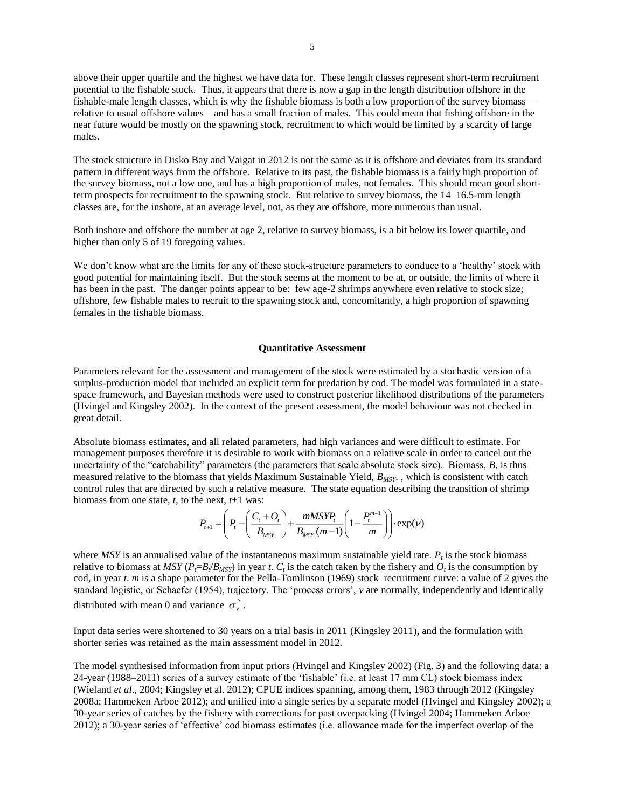above their upper quartile and the highest we have data for. These length classes represent short-term recruitment potential to the fishable stock. Thus, it appears that there is now a gap in the length distribution offshore in the fishable-male length classes, which is why the fishable biomass is both a low proportion of the survey biomass relative to usual offshore values—and has a small fraction of males. This could mean that fishing offshore in the near future would be mostly on the spawning stock, recruitment to which would be limited by a scarcity of large males.

The stock structure in Disko Bay and Vaigat in 2012 is not the same as it is offshore and deviates from its standard pattern in different ways from the offshore. Relative to its past, the fishable biomass is a fairly high proportion of the survey biomass, not a low one, and has a high proportion of males, not females. This should mean good shortterm prospects for recruitment to the spawning stock. But relative to survey biomass, the 14–16.5-mm length classes are, for the inshore, at an average level, not, as they are offshore, more numerous than usual.

Both inshore and offshore the number at age 2, relative to survey biomass, is a bit below its lower quartile, and higher than only 5 of 19 foregoing values.

We don't know what are the limits for any of these stock-structure parameters to conduce to a 'healthy' stock with good potential for maintaining itself. But the stock seems at the moment to be at, or outside, the limits of where it has been in the past. The danger points appear to be: few age-2 shrimps anywhere even relative to stock size; offshore, few fishable males to recruit to the spawning stock and, concomitantly, a high proportion of spawning females in the fishable biomass.

### **Quantitative Assessment**

Parameters relevant for the assessment and management of the stock were estimated by a stochastic version of a surplus-production model that included an explicit term for predation by cod. The model was formulated in a statespace framework, and Bayesian methods were used to construct posterior likelihood distributions of the parameters (Hvingel and Kingsley 2002). In the context of the present assessment, the model behaviour was not checked in great detail.

Absolute biomass estimates, and all related parameters, had high variances and were difficult to estimate. For management purposes therefore it is desirable to work with biomass on a relative scale in order to cancel out the uncertainty of the "catchability" parameters (the parameters that scale absolute stock size). Biomass, *B*, is thus measured relative to the biomass that yields Maximum Sustainable Yield, *BMSY*. , which is consistent with catch control rules that are directed by such a relative measure. The state equation describing the transition of shrimp biomass from one state, *t*, to the next, *t*+1 was:

$$
P_{t+1} = \left(P_t - \left(\frac{C_t + O_t}{B_{MST}}\right) + \frac{mMSYP_t}{B_{MST}(m-1)} \left(1 - \frac{P_t^{m-1}}{m}\right)\right) \cdot \exp(V)
$$

where  $MSY$  is an annualised value of the instantaneous maximum sustainable yield rate.  $P_t$  is the stock biomass relative to biomass at  $MSY(P_t=B_t/B_{MSY})$  in year *t*.  $C_t$  is the catch taken by the fishery and  $O_t$  is the consumption by cod, in year *t*. *m* is a shape parameter for the Pella-Tomlinson (1969) stock–recruitment curve: a value of 2 gives the standard logistic, or Schaefer (1954), trajectory. The 'process errors', *v* are normally, independently and identically distributed with mean 0 and variance  $\sigma_{v}^{2}$ .

Input data series were shortened to 30 years on a trial basis in 2011 (Kingsley 2011), and the formulation with shorter series was retained as the main assessment model in 2012.

The model synthesised information from input priors (Hvingel and Kingsley 2002) (Fig. 3) and the following data: a 24-year (1988–2011) series of a survey estimate of the 'fishable' (i.e. at least 17 mm CL) stock biomass index (Wieland *et al*., 2004; Kingsley et al. 2012); CPUE indices spanning, among them, 1983 through 2012 (Kingsley 2008a; Hammeken Arboe 2012); and unified into a single series by a separate model (Hvingel and Kingsley 2002); a 30-year series of catches by the fishery with corrections for past overpacking (Hvingel 2004; Hammeken Arboe 2012); a 30-year series of 'effective' cod biomass estimates (i.e. allowance made for the imperfect overlap of the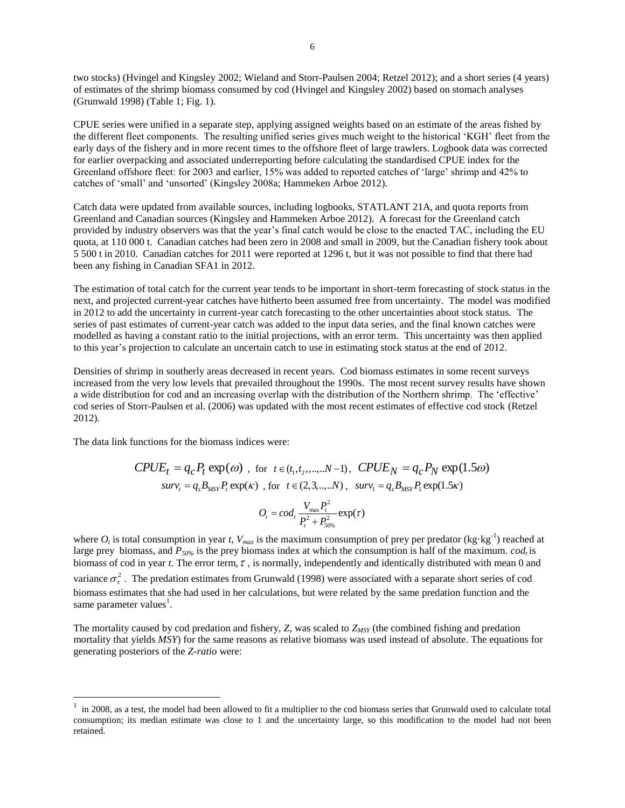two stocks) (Hvingel and Kingsley 2002; Wieland and Storr-Paulsen 2004; Retzel 2012); and a short series (4 years) of estimates of the shrimp biomass consumed by cod (Hvingel and Kingsley 2002) based on stomach analyses (Grunwald 1998) (Table 1; Fig. 1).

CPUE series were unified in a separate step, applying assigned weights based on an estimate of the areas fished by the different fleet components. The resulting unified series gives much weight to the historical 'KGH' fleet from the early days of the fishery and in more recent times to the offshore fleet of large trawlers. Logbook data was corrected for earlier overpacking and associated underreporting before calculating the standardised CPUE index for the Greenland offshore fleet: for 2003 and earlier, 15% was added to reported catches of 'large' shrimp and 42% to catches of 'small' and 'unsorted' (Kingsley 2008a; Hammeken Arboe 2012).

Catch data were updated from available sources, including logbooks, STATLANT 21A, and quota reports from Greenland and Canadian sources (Kingsley and Hammeken Arboe 2012). A forecast for the Greenland catch provided by industry observers was that the year's final catch would be close to the enacted TAC, including the EU quota, at 110 000 t. Canadian catches had been zero in 2008 and small in 2009, but the Canadian fishery took about 5 500 t in 2010. Canadian catches for 2011 were reported at 1296 t, but it was not possible to find that there had been any fishing in Canadian SFA1 in 2012.

The estimation of total catch for the current year tends to be important in short-term forecasting of stock status in the next, and projected current-year catches have hitherto been assumed free from uncertainty. The model was modified in 2012 to add the uncertainty in current-year catch forecasting to the other uncertainties about stock status. The series of past estimates of current-year catch was added to the input data series, and the final known catches were modelled as having a constant ratio to the initial projections, with an error term. This uncertainty was then applied to this year's projection to calculate an uncertain catch to use in estimating stock status at the end of 2012.

Densities of shrimp in southerly areas decreased in recent years. Cod biomass estimates in some recent surveys increased from the very low levels that prevailed throughout the 1990s. The most recent survey results have shown a wide distribution for cod and an increasing overlap with the distribution of the Northern shrimp. The 'effective' cod series of Storr-Paulsen et al. (2006) was updated with the most recent estimates of effective cod stock (Retzel 2012).

The data link functions for the biomass indices were:

 $\overline{a}$ 

$$
CPUE_t = q_c P_t \exp(\omega) \text{ , for } t \in (t_1, t_2, \dots, N-1), \text{ } CPUE_N = q_c P_N \exp(1.5\omega)
$$
  

$$
surv_t = q_s B_{MST} P_t \exp(\kappa) \text{ , for } t \in (2, 3, \dots, N), \text{ } surv_1 = q_s B_{MST} P_t \exp(1.5\kappa)
$$

$$
O_t = cod_t \frac{V_{\text{max}} P_t^2}{P_t^2 + P_{50\%}^2} \exp(\tau)
$$

where  $O_t$  is total consumption in year *t*,  $V_{max}$  is the maximum consumption of prey per predator (kg·kg<sup>-1</sup>) reached at large prey biomass, and *P50%* is the prey biomass index at which the consumption is half of the maximum. *codt* is biomass of cod in year *t*. The error term,  $\tau$ , is normally, independently and identically distributed with mean 0 and variance  $\sigma_{\tau}^2$ . The predation estimates from Grunwald (1998) were associated with a separate short series of cod biomass estimates that she had used in her calculations, but were related by the same predation function and the same parameter values<sup>1</sup>.

The mortality caused by cod predation and fishery, *Z*, was scaled to *ZMSY* (the combined fishing and predation mortality that yields *MSY*) for the same reasons as relative biomass was used instead of absolute. The equations for generating posteriors of the *Z-ratio* were:

<sup>1</sup> in 2008, as a test, the model had been allowed to fit a multiplier to the cod biomass series that Grunwald used to calculate total consumption; its median estimate was close to 1 and the uncertainty large, so this modification to the model had not been retained.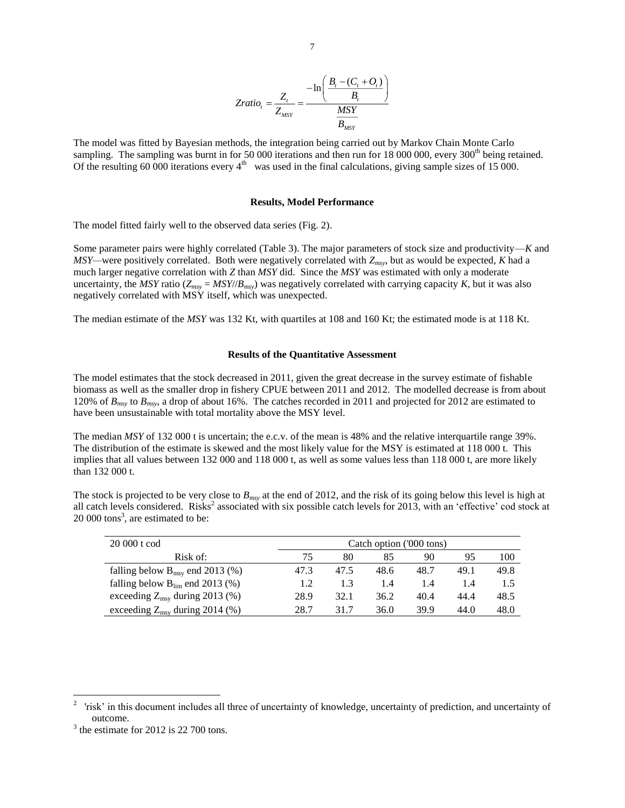$$
Zratio_{t} = \frac{Z_{t}}{Z_{MSY}} = \frac{-\ln\left(\frac{B_{t} - (C_{t} + O_{t})}{B_{t}}\right)}{\frac{MSY}{B_{MSY}}}
$$

The model was fitted by Bayesian methods, the integration being carried out by Markov Chain Monte Carlo sampling. The sampling was burnt in for 50 000 iterations and then run for 18 000 000, every 300<sup>th</sup> being retained. Of the resulting 60 000 iterations every  $4<sup>th</sup>$  was used in the final calculations, giving sample sizes of 15 000.

### **Results, Model Performance**

The model fitted fairly well to the observed data series (Fig. 2).

Some parameter pairs were highly correlated (Table 3). The major parameters of stock size and productivity—*K* and *MSY—*were positively correlated. Both were negatively correlated with *Zmsy*, but as would be expected, *K* had a much larger negative correlation with *Z* than *MSY* did. Since the *MSY* was estimated with only a moderate uncertainty, the *MSY* ratio ( $Z_{msv} = MSY/|B_{msv}$ ) was negatively correlated with carrying capacity *K*, but it was also negatively correlated with MSY itself, which was unexpected.

The median estimate of the *MSY* was 132 Kt, with quartiles at 108 and 160 Kt; the estimated mode is at 118 Kt.

### **Results of the Quantitative Assessment**

The model estimates that the stock decreased in 2011, given the great decrease in the survey estimate of fishable biomass as well as the smaller drop in fishery CPUE between 2011 and 2012. The modelled decrease is from about 120% of *Bmsy* to *Bmsy*, a drop of about 16%. The catches recorded in 2011 and projected for 2012 are estimated to have been unsustainable with total mortality above the MSY level.

The median *MSY* of 132 000 t is uncertain; the e.c.v. of the mean is 48% and the relative interquartile range 39%. The distribution of the estimate is skewed and the most likely value for the MSY is estimated at 118 000 t. This implies that all values between 132 000 and 118 000 t, as well as some values less than 118 000 t, are more likely than 132 000 t.

The stock is projected to be very close to *Bmsy* at the end of 2012, and the risk of its going below this level is high at all catch levels considered. Risks<sup>2</sup> associated with six possible catch levels for 2013, with an 'effective' cod stock at  $20\,000$  tons<sup>3</sup>, are estimated to be:

| 20 000 t cod                                | Catch option ('000 tons) |      |      |      |      |      |  |
|---------------------------------------------|--------------------------|------|------|------|------|------|--|
| Risk of:                                    | 75                       | 80   | 85   | 90   | 95   | 100  |  |
| falling below $B_{\text{msy}}$ end 2013 (%) | 47.3                     | 47.5 | 48.6 | 48.7 | 49.1 | 49.8 |  |
| falling below $B_{lim}$ end 2013 (%)        | 1.2                      | 1.3  | 1.4  | 1.4  | 1.4  | 1.5  |  |
| exceeding $Z_{\text{msy}}$ during 2013 (%)  | 28.9                     | 32.1 | 36.2 | 40.4 | 44.4 | 48.5 |  |
| exceeding $Z_{\text{msv}}$ during 2014 (%)  | 28.7                     | 31.7 | 36.0 | 39.9 | 44.0 | 48.0 |  |

 $\overline{a}$ 

<sup>2</sup> 'risk' in this document includes all three of uncertainty of knowledge, uncertainty of prediction, and uncertainty of outcome.

 $3$  the estimate for 2012 is 22 700 tons.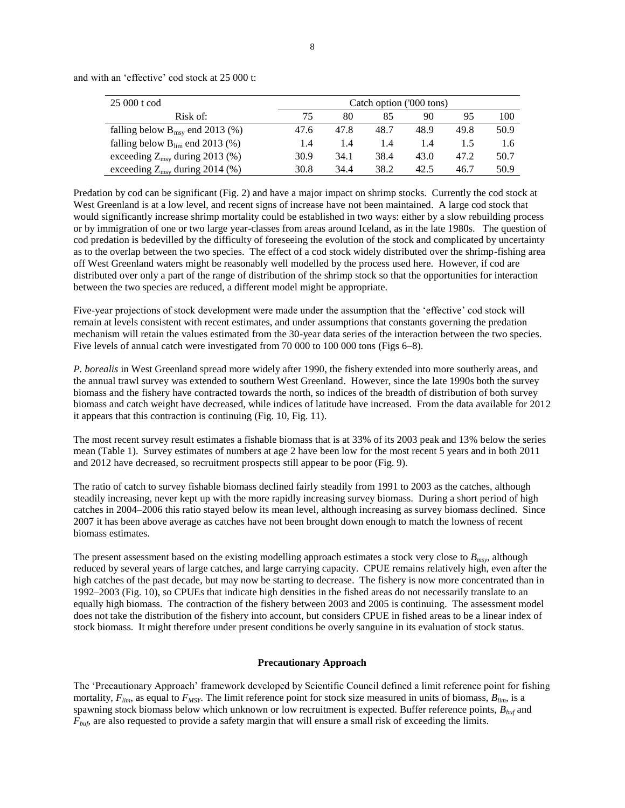| 25 000 t cod<br>Catch option ('000 tons)    |      |      |      |      |      |      |
|---------------------------------------------|------|------|------|------|------|------|
| Risk of:                                    | 75   | 80   | 85   | 90   | 95   | 100  |
| falling below $B_{\text{msy}}$ end 2013 (%) | 47.6 | 47.8 | 48.7 | 48.9 | 49.8 | 50.9 |
| falling below $B_{\text{lim}}$ end 2013 (%) | 1.4  | 1.4  | 1.4  | 1.4  |      | 1.6  |
| exceeding $Z_{\text{msy}}$ during 2013 (%)  | 30.9 | 34.1 | 38.4 | 43.0 | 47.2 | 50.7 |
| exceeding $Z_{\text{msy}}$ during 2014 (%)  | 30.8 | 34.4 | 38.2 | 42.5 | 46.7 | 50.9 |

and with an 'effective' cod stock at 25 000 t:

Predation by cod can be significant (Fig. 2) and have a major impact on shrimp stocks. Currently the cod stock at West Greenland is at a low level, and recent signs of increase have not been maintained. A large cod stock that would significantly increase shrimp mortality could be established in two ways: either by a slow rebuilding process or by immigration of one or two large year-classes from areas around Iceland, as in the late 1980s. The question of cod predation is bedevilled by the difficulty of foreseeing the evolution of the stock and complicated by uncertainty as to the overlap between the two species. The effect of a cod stock widely distributed over the shrimp-fishing area off West Greenland waters might be reasonably well modelled by the process used here. However, if cod are distributed over only a part of the range of distribution of the shrimp stock so that the opportunities for interaction between the two species are reduced, a different model might be appropriate.

Five-year projections of stock development were made under the assumption that the 'effective' cod stock will remain at levels consistent with recent estimates, and under assumptions that constants governing the predation mechanism will retain the values estimated from the 30-year data series of the interaction between the two species. Five levels of annual catch were investigated from 70 000 to 100 000 tons (Figs 6–8).

*P. borealis* in West Greenland spread more widely after 1990, the fishery extended into more southerly areas, and the annual trawl survey was extended to southern West Greenland. However, since the late 1990s both the survey biomass and the fishery have contracted towards the north, so indices of the breadth of distribution of both survey biomass and catch weight have decreased, while indices of latitude have increased. From the data available for 2012 it appears that this contraction is continuing (Fig. 10, Fig. 11).

The most recent survey result estimates a fishable biomass that is at 33% of its 2003 peak and 13% below the series mean (Table 1). Survey estimates of numbers at age 2 have been low for the most recent 5 years and in both 2011 and 2012 have decreased, so recruitment prospects still appear to be poor (Fig. 9).

The ratio of catch to survey fishable biomass declined fairly steadily from 1991 to 2003 as the catches, although steadily increasing, never kept up with the more rapidly increasing survey biomass. During a short period of high catches in 2004–2006 this ratio stayed below its mean level, although increasing as survey biomass declined. Since 2007 it has been above average as catches have not been brought down enough to match the lowness of recent biomass estimates.

The present assessment based on the existing modelling approach estimates a stock very close to *Bmsy*, although reduced by several years of large catches, and large carrying capacity. CPUE remains relatively high, even after the high catches of the past decade, but may now be starting to decrease. The fishery is now more concentrated than in 1992–2003 (Fig. 10), so CPUEs that indicate high densities in the fished areas do not necessarily translate to an equally high biomass. The contraction of the fishery between 2003 and 2005 is continuing. The assessment model does not take the distribution of the fishery into account, but considers CPUE in fished areas to be a linear index of stock biomass. It might therefore under present conditions be overly sanguine in its evaluation of stock status.

### **Precautionary Approach**

The 'Precautionary Approach' framework developed by Scientific Council defined a limit reference point for fishing mortality, *Flim*, as equal to *FMSY*. The limit reference point for stock size measured in units of biomass, *Blim*, is a spawning stock biomass below which unknown or low recruitment is expected. Buffer reference points, *Bbuf* and *Fbuf*, are also requested to provide a safety margin that will ensure a small risk of exceeding the limits.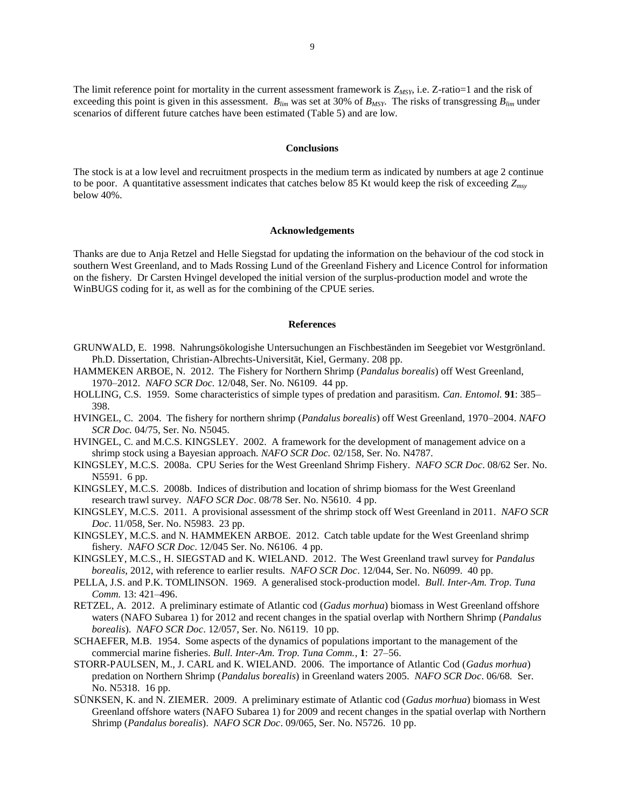The limit reference point for mortality in the current assessment framework is  $Z_{MSY}$ , i.e.  $Z$ -ratio=1 and the risk of exceeding this point is given in this assessment. *Blim* was set at 30% of *BMSY*. The risks of transgressing *Blim* under scenarios of different future catches have been estimated (Table 5) and are low.

#### **Conclusions**

The stock is at a low level and recruitment prospects in the medium term as indicated by numbers at age 2 continue to be poor. A quantitative assessment indicates that catches below 85 Kt would keep the risk of exceeding *Zmsy* below 40%.

### **Acknowledgements**

Thanks are due to Anja Retzel and Helle Siegstad for updating the information on the behaviour of the cod stock in southern West Greenland, and to Mads Rossing Lund of the Greenland Fishery and Licence Control for information on the fishery. Dr Carsten Hvingel developed the initial version of the surplus-production model and wrote the WinBUGS coding for it, as well as for the combining of the CPUE series.

#### **References**

- GRUNWALD, E. 1998. Nahrungsökologishe Untersuchungen an Fischbeständen im Seegebiet vor Westgrönland. Ph.D. Dissertation, Christian-Albrechts-Universität, Kiel, Germany. 208 pp.
- HAMMEKEN ARBOE, N. 2012. The Fishery for Northern Shrimp (*Pandalus borealis*) off West Greenland, 1970–2012. *NAFO SCR Doc.* 12/048, Ser. No. N6109. 44 pp.
- HOLLING, C.S. 1959. Some characteristics of simple types of predation and parasitism. *Can. Entomol.* **91**: 385– 398.
- HVINGEL, C. 2004. The fishery for northern shrimp (*Pandalus borealis*) off West Greenland, 1970–2004. *NAFO SCR Doc.* 04/75, Ser. No. N5045.
- HVINGEL, C. and M.C.S. KINGSLEY. 2002. A framework for the development of management advice on a shrimp stock using a Bayesian approach. *NAFO SCR Doc.* 02/158, Ser. No. N4787.
- KINGSLEY, M.C.S. 2008a. CPU Series for the West Greenland Shrimp Fishery. *NAFO SCR Doc*. 08/62 Ser. No. N5591. 6 pp.
- KINGSLEY, M.C.S. 2008b. Indices of distribution and location of shrimp biomass for the West Greenland research trawl survey. *NAFO SCR Doc*. 08/78 Ser. No. N5610. 4 pp.
- KINGSLEY, M.C.S. 2011. A provisional assessment of the shrimp stock off West Greenland in 2011. *NAFO SCR Doc*. 11/058, Ser. No. N5983. 23 pp.
- KINGSLEY, M.C.S. and N. HAMMEKEN ARBOE. 2012. Catch table update for the West Greenland shrimp fishery. *NAFO SCR Doc*. 12/045 Ser. No. N6106. 4 pp.
- KINGSLEY, M.C.S., H. SIEGSTAD and K. WIELAND. 2012. The West Greenland trawl survey for *Pandalus borealis*, 2012, with reference to earlier results. *NAFO SCR Doc*. 12/044, Ser. No. N6099. 40 pp.
- PELLA, J.S. and P.K. TOMLINSON. 1969. A generalised stock-production model. *Bull. Inter-Am. Trop. Tuna Comm.* 13: 421–496.
- RETZEL, A. 2012. A preliminary estimate of Atlantic cod (*Gadus morhua*) biomass in West Greenland offshore waters (NAFO Subarea 1) for 2012 and recent changes in the spatial overlap with Northern Shrimp (*Pandalus borealis*). *NAFO SCR Doc*. 12/057, Ser. No. N6119. 10 pp.
- SCHAEFER, M.B. 1954. Some aspects of the dynamics of populations important to the management of the commercial marine fisheries. *Bull. Inter-Am. Trop. Tuna Comm.*, **1**: 27–56.
- STORR-PAULSEN, M., J. CARL and K. WIELAND. 2006. The importance of Atlantic Cod (*Gadus morhua*) predation on Northern Shrimp (*Pandalus borealis*) in Greenland waters 2005. *NAFO SCR Doc*. 06/68*.* Ser. No. N5318. 16 pp.
- SÜNKSEN, K. and N. ZIEMER. 2009. A preliminary estimate of Atlantic cod (*Gadus morhua*) biomass in West Greenland offshore waters (NAFO Subarea 1) for 2009 and recent changes in the spatial overlap with Northern Shrimp (*Pandalus borealis*). *NAFO SCR Doc*. 09/065, Ser. No. N5726. 10 pp.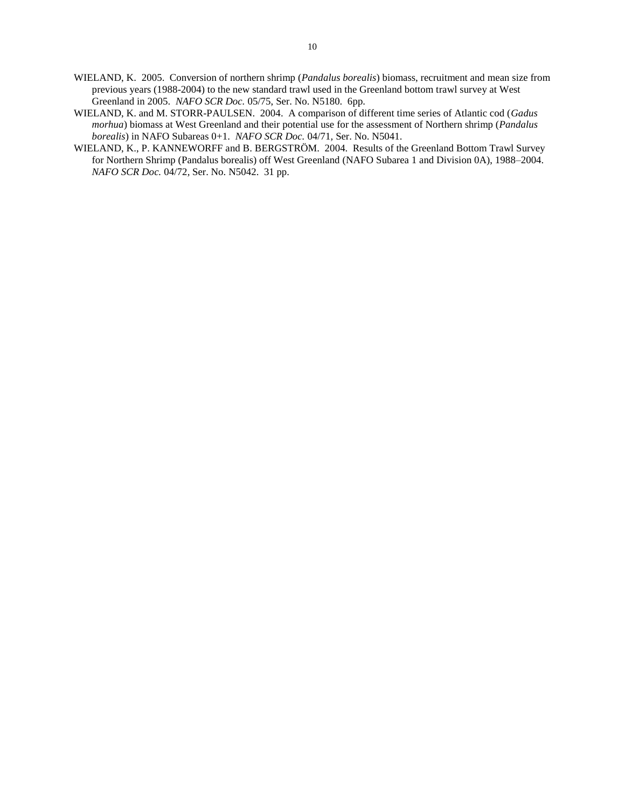- WIELAND, K. 2005. Conversion of northern shrimp (*Pandalus borealis*) biomass, recruitment and mean size from previous years (1988-2004) to the new standard trawl used in the Greenland bottom trawl survey at West Greenland in 2005. *NAFO SCR Doc.* 05/75, Ser. No. N5180. 6pp.
- WIELAND, K. and M. STORR-PAULSEN. 2004. A comparison of different time series of Atlantic cod (*Gadus morhua*) biomass at West Greenland and their potential use for the assessment of Northern shrimp (*Pandalus borealis*) in NAFO Subareas 0+1. *NAFO SCR Doc.* 04/71*,* Ser. No. N5041.
- WIELAND, K., P. KANNEWORFF and B. BERGSTRÖM. 2004. Results of the Greenland Bottom Trawl Survey for Northern Shrimp (Pandalus borealis) off West Greenland (NAFO Subarea 1 and Division 0A), 1988–2004. *NAFO SCR Doc.* 04/72*,* Ser. No. N5042. 31 pp.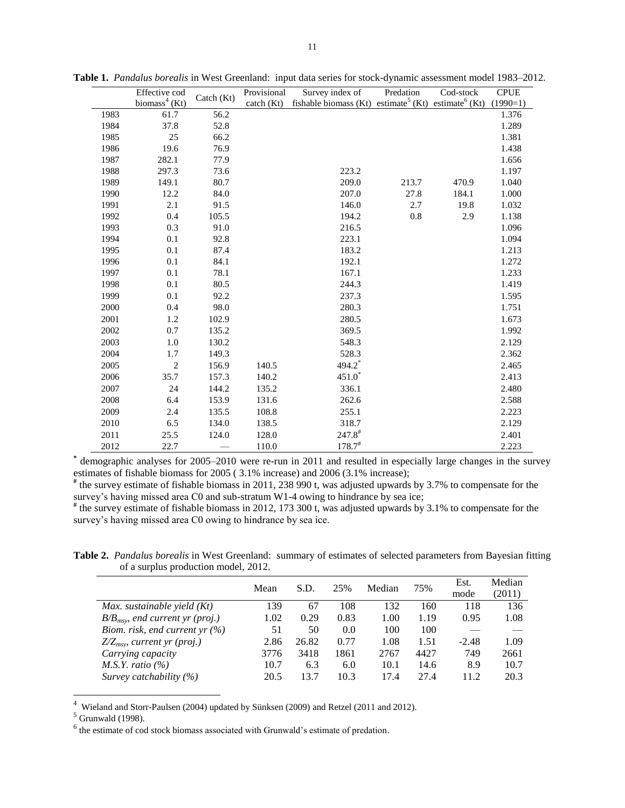|      | Effective cod             | Catch $(Kt)$ | Provisional         | Survey index of                                                             | Predation | Cod-stock | <b>CPUE</b> |
|------|---------------------------|--------------|---------------------|-----------------------------------------------------------------------------|-----------|-----------|-------------|
|      | biomass <sup>4</sup> (Kt) |              | $\text{catch (Kt)}$ | fishable biomass (Kt) estimate <sup>5</sup> (Kt) estimate <sup>6</sup> (Kt) |           |           | $(1990=1)$  |
| 1983 | 61.7                      | 56.2         |                     |                                                                             |           |           | 1.376       |
| 1984 | 37.8                      | 52.8         |                     |                                                                             |           |           | 1.289       |
| 1985 | 25                        | 66.2         |                     |                                                                             |           |           | 1.381       |
| 1986 | 19.6                      | 76.9         |                     |                                                                             |           |           | 1.438       |
| 1987 | 282.1                     | 77.9         |                     |                                                                             |           |           | 1.656       |
| 1988 | 297.3                     | 73.6         |                     | 223.2                                                                       |           |           | 1.197       |
| 1989 | 149.1                     | 80.7         |                     | 209.0                                                                       | 213.7     | 470.9     | 1.040       |
| 1990 | 12.2                      | 84.0         |                     | 207.0                                                                       | 27.8      | 184.1     | 1.000       |
| 1991 | 2.1                       | 91.5         |                     | 146.0                                                                       | 2.7       | 19.8      | 1.032       |
| 1992 | 0.4                       | 105.5        |                     | 194.2                                                                       | 0.8       | 2.9       | 1.138       |
| 1993 | 0.3                       | 91.0         |                     | 216.5                                                                       |           |           | 1.096       |
| 1994 | 0.1                       | 92.8         |                     | 223.1                                                                       |           |           | 1.094       |
| 1995 | 0.1                       | 87.4         |                     | 183.2                                                                       |           |           | 1.213       |
| 1996 | 0.1                       | 84.1         |                     | 192.1                                                                       |           |           | 1.272       |
| 1997 | 0.1                       | 78.1         |                     | 167.1                                                                       |           |           | 1.233       |
| 1998 | 0.1                       | 80.5         |                     | 244.3                                                                       |           |           | 1.419       |
| 1999 | 0.1                       | 92.2         |                     | 237.3                                                                       |           |           | 1.595       |
| 2000 | 0.4                       | 98.0         |                     | 280.3                                                                       |           |           | 1.751       |
| 2001 | 1.2                       | 102.9        |                     | 280.5                                                                       |           |           | 1.673       |
| 2002 | 0.7                       | 135.2        |                     | 369.5                                                                       |           |           | 1.992       |
| 2003 | 1.0                       | 130.2        |                     | 548.3                                                                       |           |           | 2.129       |
| 2004 | 1.7                       | 149.3        |                     | 528.3                                                                       |           |           | 2.362       |
| 2005 | 2                         | 156.9        | 140.5               | 494.2                                                                       |           |           | 2.465       |
| 2006 | 35.7                      | 157.3        | 140.2               | $451.0*$                                                                    |           |           | 2.413       |
| 2007 | 24                        | 144.2        | 135.2               | 336.1                                                                       |           |           | 2.480       |
| 2008 | 6.4                       | 153.9        | 131.6               | 262.6                                                                       |           |           | 2.588       |
| 2009 | 2.4                       | 135.5        | 108.8               | 255.1                                                                       |           |           | 2.223       |
| 2010 | 6.5                       | 134.0        | 138.5               | 318.7                                                                       |           |           | 2.129       |
| 2011 | 25.5                      | 124.0        | 128.0               | $247.8$ <sup>#</sup>                                                        |           |           | 2.401       |
| 2012 | 22.7                      |              | 110.0               | $178.7^{\text{\#}}$                                                         |           |           | 2.223       |

**Table 1.** *Pandalus borealis* in West Greenland:input data series for stock-dynamic assessment model 1983–2012.

**\*** demographic analyses for 2005–2010 were re-run in 2011 and resulted in especially large changes in the survey estimates of fishable biomass for 2005 ( 3.1% increase) and 2006 (3.1% increase);

**#** the survey estimate of fishable biomass in 2011, 238 990 t, was adjusted upwards by 3.7% to compensate for the survey's having missed area C0 and sub-stratum W1-4 owing to hindrance by sea ice;

**#** the survey estimate of fishable biomass in 2012, 173 300 t, was adjusted upwards by 3.1% to compensate for the survey's having missed area C0 owing to hindrance by sea ice.

**Table 2.** *Pandalus borealis* in West Greenland: summary of estimates of selected parameters from Bayesian fitting of a surplus production model, 2012.

|                                      | Mean | S.D.  | 25%  | Median | 75%  | Est.    | Median |
|--------------------------------------|------|-------|------|--------|------|---------|--------|
|                                      |      |       |      |        |      | mode    | (2011) |
| Max. sustainable yield $(Kt)$        | 139  | 67    | 108  | 132    | 160  | 118     | 136    |
| $B/B_{msv}$ , end current yr (proj.) | 1.02 | 0.29  | 0.83 | 1.00   | 1.19 | 0.95    | 1.08   |
| Biom. risk, end current yr $(\%)$    | 51   | 50    | 0.0  | 100    | 100  |         |        |
| $Z/Z_{msv}$ , current yr (proj.)     | 2.86 | 26.82 | 0.77 | 1.08   | 1.51 | $-2.48$ | 1.09   |
| Carrying capacity                    | 3776 | 3418  | 1861 | 2767   | 4427 | 749     | 2661   |
| M.S.Y. ratio $(\%)$                  | 10.7 | 6.3   | 6.0  | 10.1   | 14.6 | 8.9     | 10.7   |
| Survey catchability $(\%)$           | 20.5 | 13.7  | 10.3 | 17.4   | 27.4 | 11.2    | 20.3   |

<sup>4</sup> Wieland and Storr-Paulsen (2004) updated by Sünksen (2009) and Retzel (2011 and 2012).

 $<sup>5</sup>$  Grunwald (1998).</sup>

 $\overline{a}$ 

 $<sup>6</sup>$  the estimate of cod stock biomass associated with Grunwald's estimate of predation.</sup>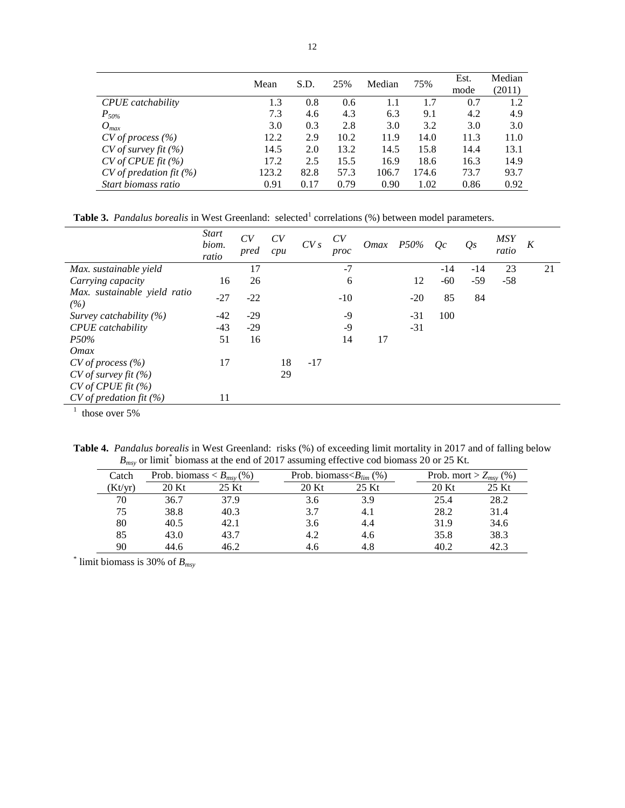|                              | Mean  | S.D. | 25%  | Median | 75%   | Est. | Median |
|------------------------------|-------|------|------|--------|-------|------|--------|
|                              |       |      |      |        |       | mode | (2011) |
| CPUE catchability            | 1.3   | 0.8  | 0.6  | 1.1    | 1.7   | 0.7  | 1.2    |
| $P_{50\%}$                   | 7.3   | 4.6  | 4.3  | 6.3    | 9.1   | 4.2  | 4.9    |
| $O_{max}$                    | 3.0   | 0.3  | 2.8  | 3.0    | 3.2   | 3.0  | 3.0    |
| $CV$ of process $(\% )$      | 12.2  | 2.9  | 10.2 | 11.9   | 14.0  | 11.3 | 11.0   |
| $CV$ of survey fit $(\%)$    | 14.5  | 2.0  | 13.2 | 14.5   | 15.8  | 14.4 | 13.1   |
| $CV$ of CPUE fit $(\% )$     | 17.2  | 2.5  | 15.5 | 16.9   | 18.6  | 16.3 | 14.9   |
| $CV$ of predation fit $(\%)$ | 123.2 | 82.8 | 57.3 | 106.7  | 174.6 | 73.7 | 93.7   |
| Start biomass ratio          | 0.91  | 0.17 | 0.79 | 0.90   | 1.02  | 0.86 | 0.92   |

**Table 3.** *Pandalus borealis* in West Greenland: selected<sup>1</sup> correlations (%) between model parameters.

|                                     | <i>Start</i><br>biom.<br>ratio | CV<br>pred | CV<br>cpu | CVs   | CV<br>proc |    | $Omax$ $P50%$ | Oc    | $Q_{S}$ | <b>MSY</b><br>ratio | K |    |
|-------------------------------------|--------------------------------|------------|-----------|-------|------------|----|---------------|-------|---------|---------------------|---|----|
| Max. sustainable yield              |                                | 17         |           |       | $-7$       |    |               | $-14$ | $-14$   | 23                  |   | 21 |
| Carrying capacity                   | 16                             | 26         |           |       | 6          |    | 12            | $-60$ | $-59$   | $-58$               |   |    |
| Max. sustainable yield ratio<br>(%) | $-27$                          | $-22$      |           |       | $-10$      |    | $-20$         | 85    | 84      |                     |   |    |
| Survey catchability $(\%)$          | -42                            | $-29$      |           |       | $-9$       |    | $-31$         | 100   |         |                     |   |    |
| <b>CPUE</b> catchability            | $-43$                          | $-29$      |           |       | $-9$       |    | $-31$         |       |         |                     |   |    |
| P50%                                | 51                             | 16         |           |       | 14         | 17 |               |       |         |                     |   |    |
| <i>Omax</i>                         |                                |            |           |       |            |    |               |       |         |                     |   |    |
| $CV$ of process $(\% )$             | 17                             |            | 18        | $-17$ |            |    |               |       |         |                     |   |    |
| $CV$ of survey fit $(\% )$          |                                |            | 29        |       |            |    |               |       |         |                     |   |    |
| CV of CPUE fit (%)                  |                                |            |           |       |            |    |               |       |         |                     |   |    |
| $CV$ of predation fit $(\%)$        | 11                             |            |           |       |            |    |               |       |         |                     |   |    |
| $\sim$<br>$  -$                     |                                |            |           |       |            |    |               |       |         |                     |   |    |

 $<sup>1</sup>$  those over 5%</sup>

**Table 4.** *Pandalus borealis* in West Greenland: risks (%) of exceeding limit mortality in 2017 and of falling below  $B_{\text{msy}}$  or limit<sup>\*</sup> biomass at the end of 2017 assuming effective cod biomass 20 or 25 Kt.

| 11 L.Y  |                                 |       |                             |       |       |                            |
|---------|---------------------------------|-------|-----------------------------|-------|-------|----------------------------|
| Catch   | Prob. biomass $\lt B_{msv}(\%)$ |       | Prob. biomass $B_{lim}$ (%) |       |       | Prob. mort > $Z_{msv}$ (%) |
| (Kt/yr) | 20 Kt                           | 25 Kt | 20 Kt                       | 25 Kt | 20 Kt | 25 Kt                      |
| 70      | 36.7                            | 37.9  | 3.6                         | 3.9   | 25.4  | 28.2                       |
| 75      | 38.8                            | 40.3  | 3.7                         | 4.1   | 28.2  | 31.4                       |
| 80      | 40.5                            | 42.1  | 3.6                         | 4.4   | 31.9  | 34.6                       |
| 85      | 43.0                            | 43.7  | 4.2                         | 4.6   | 35.8  | 38.3                       |
| 90      | 44.6                            | 46.2  | 4.6                         | 4.8   | 40.2  | 42.3                       |

\* limit biomass is 30% of *Bmsy*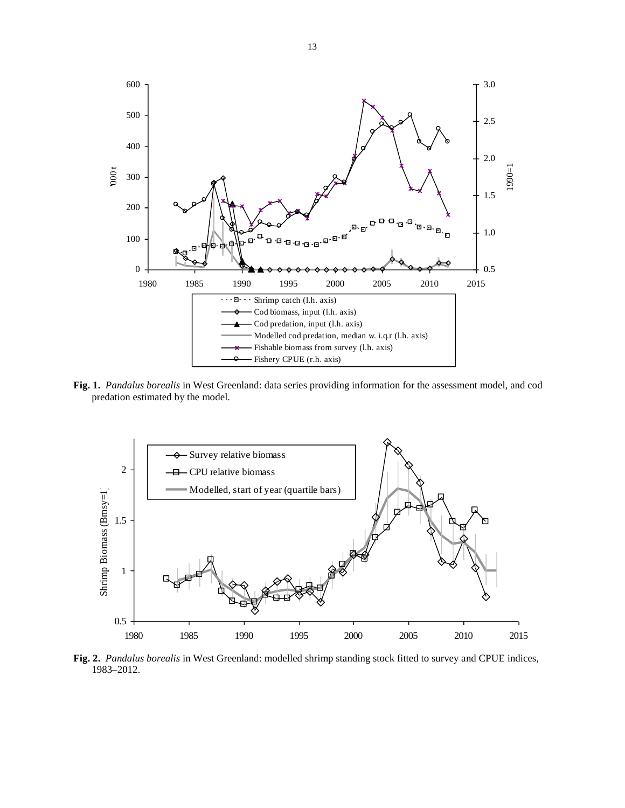

**Fig. 1.** *Pandalus borealis* in West Greenland: data series providing information for the assessment model, and cod predation estimated by the model.



**Fig. 2.** *Pandalus borealis* in West Greenland: modelled shrimp standing stock fitted to survey and CPUE indices, 1983–2012.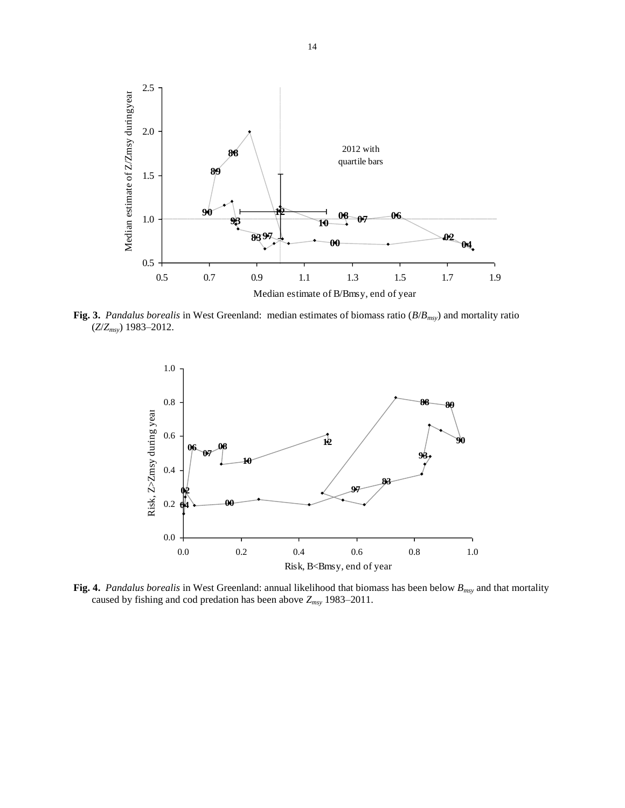

**Fig. 3.** *Pandalus borealis* in West Greenland: median estimates of biomass ratio (*B*/*Bmsy*) and mortality ratio (*Z*/*Zmsy*) 1983–2012.



**Fig. 4.** *Pandalus borealis* in West Greenland: annual likelihood that biomass has been below *Bmsy* and that mortality caused by fishing and cod predation has been above *Zmsy* 1983–2011.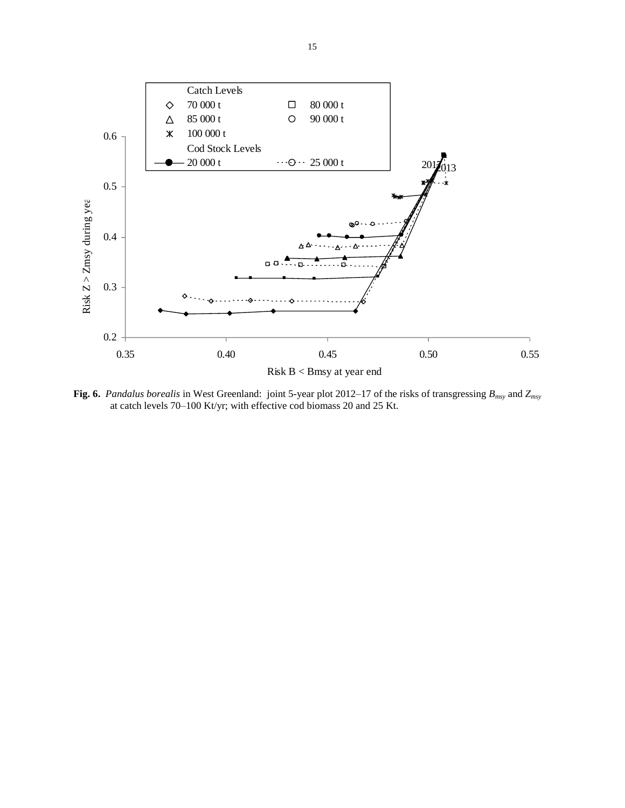

**Fig. 6.** *Pandalus borealis* in West Greenland: joint 5-year plot 2012–17 of the risks of transgressing *Bmsy* and *Zmsy* at catch levels 70–100 Kt/yr; with effective cod biomass 20 and 25 Kt.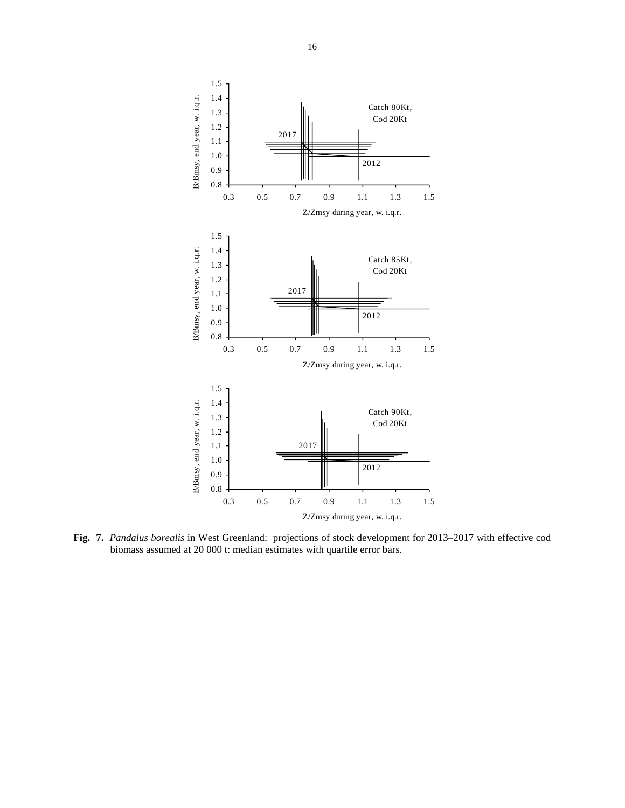

**Fig. 7.** *Pandalus borealis* in West Greenland: projections of stock development for 2013–2017 with effective cod biomass assumed at 20 000 t: median estimates with quartile error bars.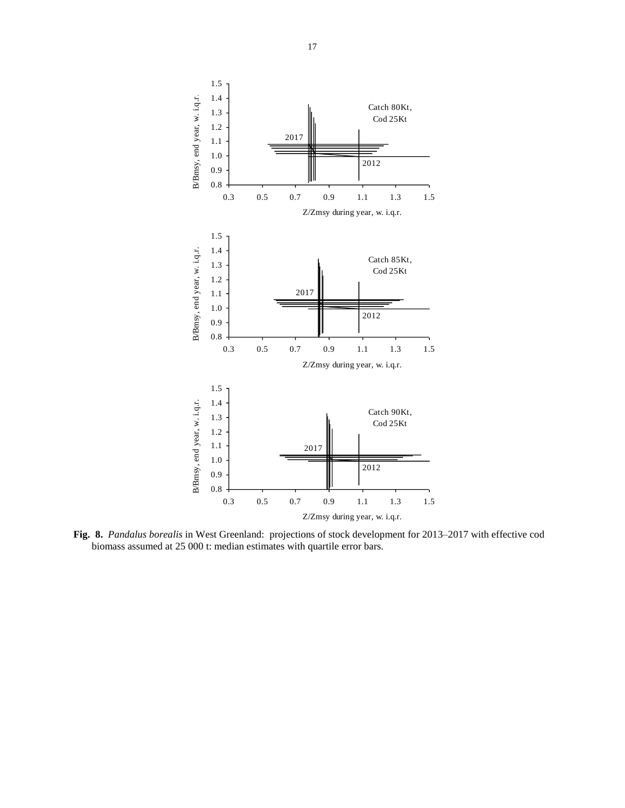

**Fig. 8.** *Pandalus borealis* in West Greenland: projections of stock development for 2013–2017 with effective cod biomass assumed at 25 000 t: median estimates with quartile error bars.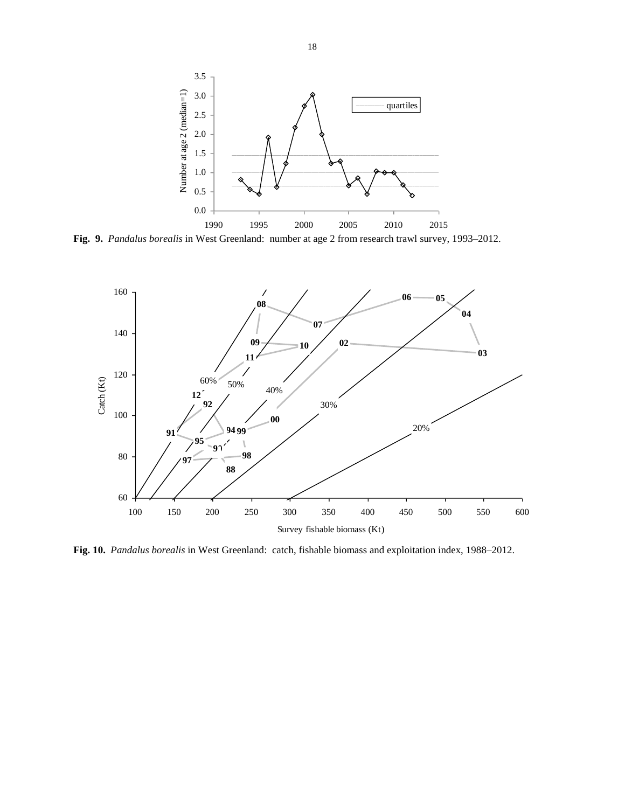

**Fig. 9.** *Pandalus borealis* in West Greenland: number at age 2 from research trawl survey, 1993–2012.



**Fig. 10.** *Pandalus borealis* in West Greenland: catch, fishable biomass and exploitation index, 1988–2012.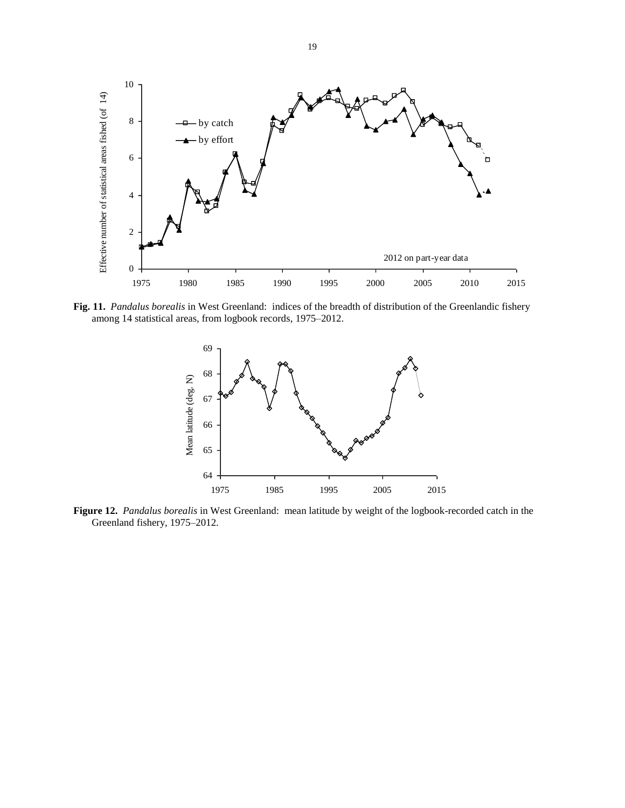

**Fig. 11.** *Pandalus borealis* in West Greenland: indices of the breadth of distribution of the Greenlandic fishery among 14 statistical areas, from logbook records, 1975–2012.



**Figure 12.** *Pandalus borealis* in West Greenland: mean latitude by weight of the logbook-recorded catch in the Greenland fishery, 1975–2012.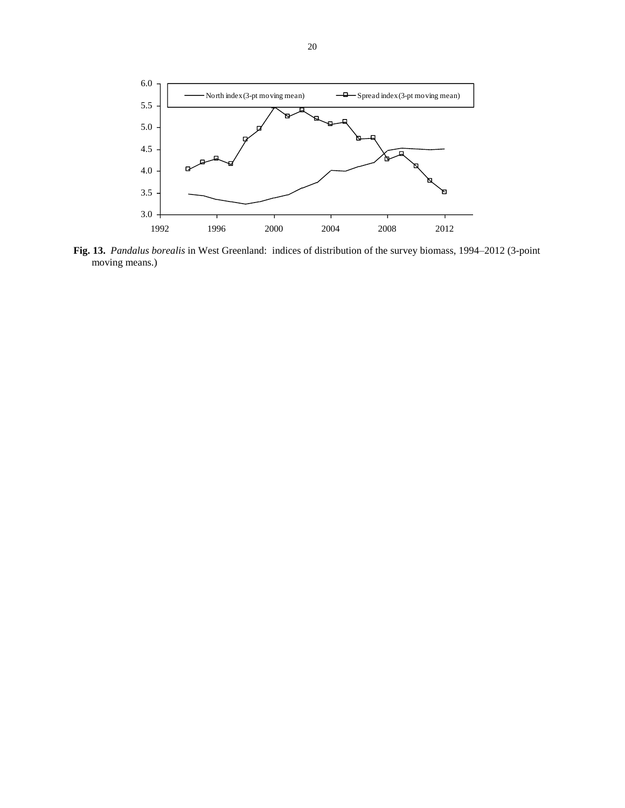

**Fig. 13.** *Pandalus borealis* in West Greenland: indices of distribution of the survey biomass, 1994–2012 (3-point moving means.)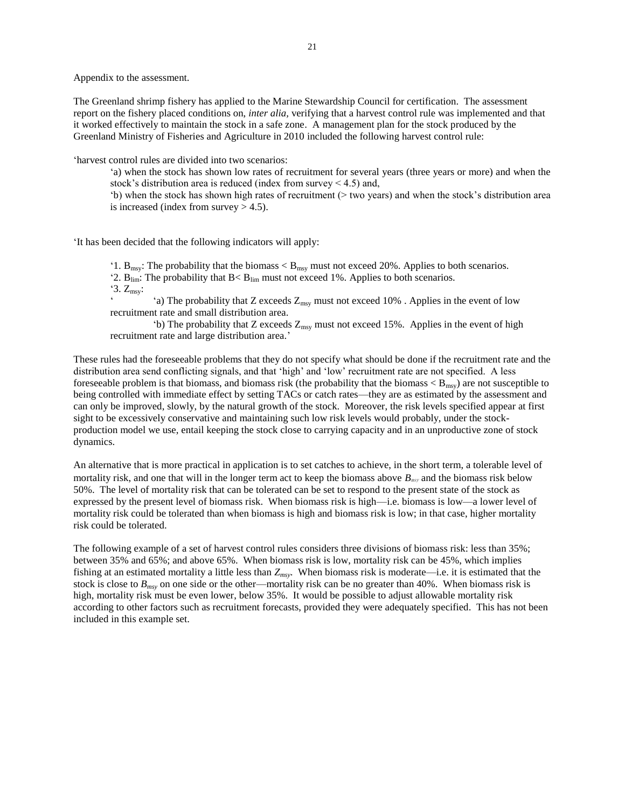Appendix to the assessment.

The Greenland shrimp fishery has applied to the Marine Stewardship Council for certification. The assessment report on the fishery placed conditions on, *inter alia,* verifying that a harvest control rule was implemented and that it worked effectively to maintain the stock in a safe zone. A management plan for the stock produced by the Greenland Ministry of Fisheries and Agriculture in 2010 included the following harvest control rule:

'harvest control rules are divided into two scenarios:

'a) when the stock has shown low rates of recruitment for several years (three years or more) and when the stock's distribution area is reduced (index from survey  $\leq 4.5$ ) and,

'b) when the stock has shown high rates of recruitment (> two years) and when the stock's distribution area is increased (index from survey  $> 4.5$ ).

'It has been decided that the following indicators will apply:

'1.  $B_{\text{msy}}$ : The probability that the biomass  $\langle B_{\text{msy}}\rangle$  must not exceed 20%. Applies to both scenarios.

'2.  $B_{\text{lim}}$ : The probability that  $B < B_{\text{lim}}$  must not exceed 1%. Applies to both scenarios.

 $3. Z_{\text{msy}}$ :

'a) The probability that Z exceeds  $Z_{\text{msy}}$  must not exceed 10%. Applies in the event of low recruitment rate and small distribution area.

'b) The probability that Z exceeds  $Z_{\text{msy}}$  must not exceed 15%. Applies in the event of high recruitment rate and large distribution area.'

These rules had the foreseeable problems that they do not specify what should be done if the recruitment rate and the distribution area send conflicting signals, and that 'high' and 'low' recruitment rate are not specified. A less foreseeable problem is that biomass, and biomass risk (the probability that the biomass  $\langle B_{\text{msv}}\rangle$ ) are not susceptible to being controlled with immediate effect by setting TACs or catch rates—they are as estimated by the assessment and can only be improved, slowly, by the natural growth of the stock. Moreover, the risk levels specified appear at first sight to be excessively conservative and maintaining such low risk levels would probably, under the stockproduction model we use, entail keeping the stock close to carrying capacity and in an unproductive zone of stock dynamics.

An alternative that is more practical in application is to set catches to achieve, in the short term, a tolerable level of mortality risk, and one that will in the longer term act to keep the biomass above  $B_{\text{msy}}$  and the biomass risk below 50%. The level of mortality risk that can be tolerated can be set to respond to the present state of the stock as expressed by the present level of biomass risk. When biomass risk is high—i.e. biomass is low—a lower level of mortality risk could be tolerated than when biomass is high and biomass risk is low; in that case, higher mortality risk could be tolerated.

The following example of a set of harvest control rules considers three divisions of biomass risk: less than 35%; between 35% and 65%; and above 65%. When biomass risk is low, mortality risk can be 45%, which implies fishing at an estimated mortality a little less than *Zmsy*. When biomass risk is moderate—i.e. it is estimated that the stock is close to *Bmsy* on one side or the other—mortality risk can be no greater than 40%. When biomass risk is high, mortality risk must be even lower, below 35%. It would be possible to adjust allowable mortality risk according to other factors such as recruitment forecasts, provided they were adequately specified. This has not been included in this example set.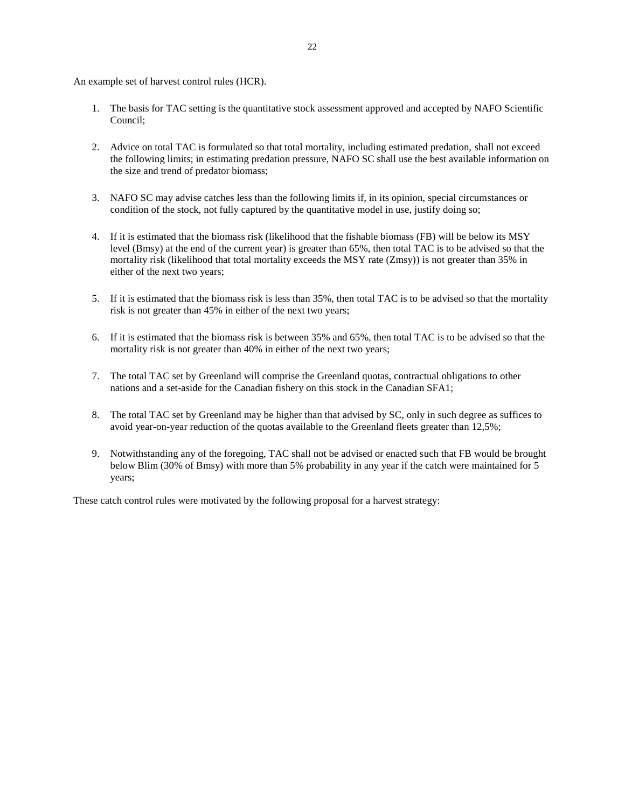An example set of harvest control rules (HCR).

- 1. The basis for TAC setting is the quantitative stock assessment approved and accepted by NAFO Scientific Council;
- 2. Advice on total TAC is formulated so that total mortality, including estimated predation, shall not exceed the following limits; in estimating predation pressure, NAFO SC shall use the best available information on the size and trend of predator biomass;
- 3. NAFO SC may advise catches less than the following limits if, in its opinion, special circumstances or condition of the stock, not fully captured by the quantitative model in use, justify doing so;
- 4. If it is estimated that the biomass risk (likelihood that the fishable biomass (FB) will be below its MSY level (Bmsy) at the end of the current year) is greater than 65%, then total TAC is to be advised so that the mortality risk (likelihood that total mortality exceeds the MSY rate (Zmsy)) is not greater than 35% in either of the next two years;
- 5. If it is estimated that the biomass risk is less than 35%, then total TAC is to be advised so that the mortality risk is not greater than 45% in either of the next two years;
- 6. If it is estimated that the biomass risk is between 35% and 65%, then total TAC is to be advised so that the mortality risk is not greater than 40% in either of the next two years;
- 7. The total TAC set by Greenland will comprise the Greenland quotas, contractual obligations to other nations and a set-aside for the Canadian fishery on this stock in the Canadian SFA1;
- 8. The total TAC set by Greenland may be higher than that advised by SC, only in such degree as suffices to avoid year-on-year reduction of the quotas available to the Greenland fleets greater than 12,5%;
- 9. Notwithstanding any of the foregoing, TAC shall not be advised or enacted such that FB would be brought below Blim (30% of Bmsy) with more than 5% probability in any year if the catch were maintained for 5 years;

These catch control rules were motivated by the following proposal for a harvest strategy: